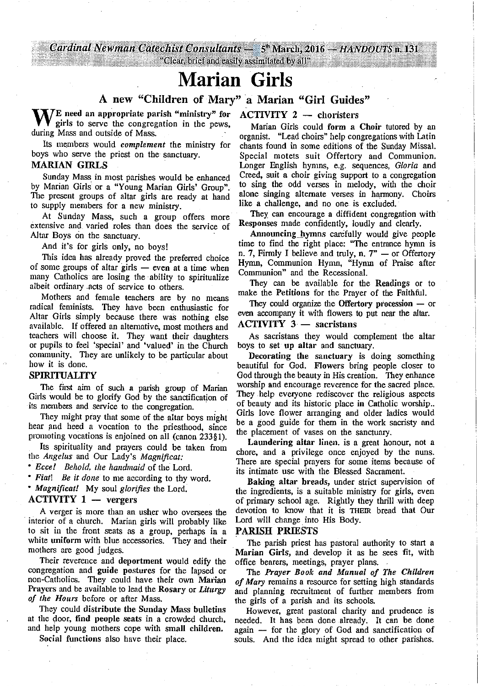Cardinal Newman Catechist Consultants - 5<sup>th</sup> March, 2016 - HANDOUTS n. 131

## "Clear, brief and easily assimilated by all"

## **Marian** Girls

# A new "Children of Mary" a Marian "Girl Guides"<br>appropriate parish "ministry" for ACTIVITY 2 — choristers

WE need an appropriate parish "ministry" for girls to serve the congregation in the pews, girls to serve the congregation in the pews, during Mass and outside of Mass.

Its members would *complement* the ministry for boys who serve the priest on the sanctuary.

## MARIAN GIRLS

Sunday Mass in most parishes would be enhanced by Marian Girls or a "Young Marian Girls' Group". The present groups of altar girls are ready at hand to supply members for a new ministry.

At Sunday Mass, such a group offers more extensive and. varied roles than does the service of Altar Boys on the sanctuary.

And it's for girls only, no boys!

This idea has already proved the preferred choice of some groups of altar girls — even at a time when many Catholics· are losing the ·ability to spiritualize albeit ordinary .acts of service to others.

Mothers and female teachers are by no means radical feminists. They have been enthusiastic for Altar Girls simply because there was nothing else available. If offered an alternative, most mothers and teachers will choose it. They want their daughters or pupils to feel 'special' and 'valued' in the Church community. They are unlikely to be particular about how it is done.

### SPIRITUALITY

The first aim of such a parish group of Marian Girls would be to glorify God by the sanctification of its members and service to the congregation.

They might pray that some of the altar boys might hear and heed a vocation to the priesthood, since promoting vocations is enjoined on all (canon 233§ 1).

Its spirituality and prayers could be taken from the *Angelus* and Our Lady's *Magnificat:* 

*• Ecce! Behold, the handmaid* of the Lord.

*• Fiat! Be it done* to me according to thy word.

*• Magnificatl* My soul *glorifies* the Lord.<br> **ACTIVITY 1** — vergers

A verger is more than an usher who oversees the interior of a church. Marian girls will probably like to sit in the front seats as a group, perhaps in a white uniform with blue accessories. They and their mothers are good judges.

Their reverence and deportment would edify the congregation and guide postures for the lapsed or non-Catholics. They could have their own Marian Prayers and be available to lead the Rosary or *Liturgy of the Hours* before or after Mass.

They could distribute the Sunday Mass bulletins at the door, find people seats in a crowded church, and help young mothers cope with small children.

Social functions also have their place.

Marian Girls could form a Choir tutored by an organist. "Lead choirs" help congregations with Latin chants found in some. editions of the Sunday Missal. Special motets suit Offertory and Communion. Longer English hymns, e.g. sequences, *Gloria* and Creed, suit a choir giving support to a congregation to sing the odd verses in melody, with the choir alone singing alternate verses in harmony. Choirs like a challenge, and no one is excluded.

They can encourage a diffident congregation with Responses made confidently, loudly and clearly.

Announcing hymns carefully would give people time to find the right place: "The entrance hymn is n. 7, Firmly I believe and truly, n. 7" — or Offertory Hymn, Communion Hymn, "Hymn of Praise after Communion" and the Recessional.

They can be available for the Readings or to make the Petitions for the Prayer of the Faithful.

They could organize the Offertory procession  $-$  or even accompany it with flowers to put near the altar.<br>ACTIVITY  $3 -$  sacristans

As sacristans they would complement the altar boys to set up altar and sanctuary.

Decorating the sanctuary is doing something beautiful for God. Flowers bring people closer to God through the beauty in His creation. They enhance worship and encourage reverence for the sacred place. They help everyone rediscover the religious aspects of beauty and its historic place in Catholic worship .. Girls love flower arranging and older ladies would be a good guide for them in the work sacristy and the placement of vases on the sanctuary.

Laundering altar linen. is a great honour, not a chore, and a privilege once enjoyed by the nuns. There are special prayers for some items because of its intimate use with the Blessed Sacrament.

Baking altar breads, under strict supervision of the ingredients, is a suitable ministry for girls, even of primary school age. Rightly they thrill .with deep devotion to know that it is THEIR bread that Our Lord will change into His Body.

## PARISH PRIESTS

The parish priest has pastoral authority to start a Marian Girls, and develop it as he sees fit, with office bearers, meetings, prayer plans. .

The *Prayer Book and Manual of The Children of Mary* remains a resource for setting high standards and planning recruitment of further members from the girls of a parish and its schools.

However, great pastoral charity and prudence is needed. It has been done already. It can be done again -- for the glory of God and sanctification of souls. And the idea might spread to. other parishes.